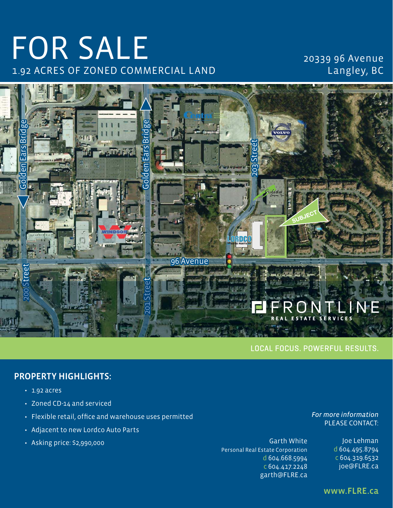# **FOR SALE** 1.92 ACRES OF ZONED COMMERCIAL LAND

### 20339 96 Avenue Langley, BC



#### LOCAL FOCUS. POWERFUL RESULTS.

#### **PROPERTY HIGHLIGHTS:**

- $\cdot$  1.92 acres
- · Zoned CD-14 and serviced
- · Flexible retail, office and warehouse uses permitted
- Adjacent to new Lordco Auto Parts
- · Asking price: \$2,990,000

**Garth White** Personal Real Estate Corporation d 604.668.5994 C 604.417.2248 garth@FLRE.ca

#### For more information **PLEASE CONTACT:**

Joe Lehman d 604.495.8794 c 604.319.6532 joe@FLRE.ca

#### www.FLRE.ca